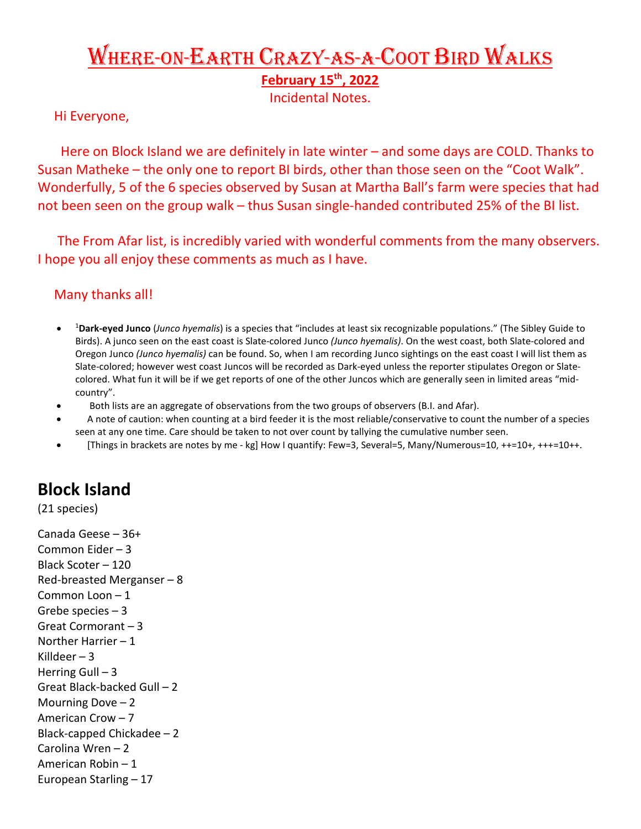# Where-on-Earth Crazy-as-a-Coot Bird Walks

**February 15th, 2022** 

Incidental Notes.

#### Hi Everyone,

Here on Block Island we are definitely in late winter – and some days are COLD. Thanks to Susan Matheke – the only one to report BI birds, other than those seen on the "Coot Walk". Wonderfully, 5 of the 6 species observed by Susan at Martha Ball's farm were species that had not been seen on the group walk – thus Susan single-handed contributed 25% of the BI list.

 The From Afar list, is incredibly varied with wonderful comments from the many observers. I hope you all enjoy these comments as much as I have.

### Many thanks all!

- <sup>1</sup> **Dark-eyed Junco** (*Junco hyemalis*) is a species that "includes at least six recognizable populations." (The Sibley Guide to Birds). A junco seen on the east coast is Slate-colored Junco *(Junco hyemalis)*. On the west coast, both Slate-colored and Oregon Junco *(Junco hyemalis)* can be found. So, when I am recording Junco sightings on the east coast I will list them as Slate-colored; however west coast Juncos will be recorded as Dark-eyed unless the reporter stipulates Oregon or Slatecolored. What fun it will be if we get reports of one of the other Juncos which are generally seen in limited areas "midcountry".
- Both lists are an aggregate of observations from the two groups of observers (B.I. and Afar).
- A note of caution: when counting at a bird feeder it is the most reliable/conservative to count the number of a species seen at any one time. Care should be taken to not over count by tallying the cumulative number seen.
- [Things in brackets are notes by me kg] How I quantify: Few=3, Several=5, Many/Numerous=10, ++=10+, +++=10++.

## **Block Island**

(21 species)

Canada Geese – 36+ Common Eider – 3 Black Scoter – 120 Red-breasted Merganser – 8 Common Loon – 1 Grebe species – 3 Great Cormorant – 3 Norther Harrier – 1 Killdeer  $-3$ Herring Gull  $-3$ Great Black-backed Gull – 2 Mourning Dove – 2 American Crow – 7 Black-capped Chickadee – 2 Carolina Wren – 2 American Robin – 1 European Starling – 17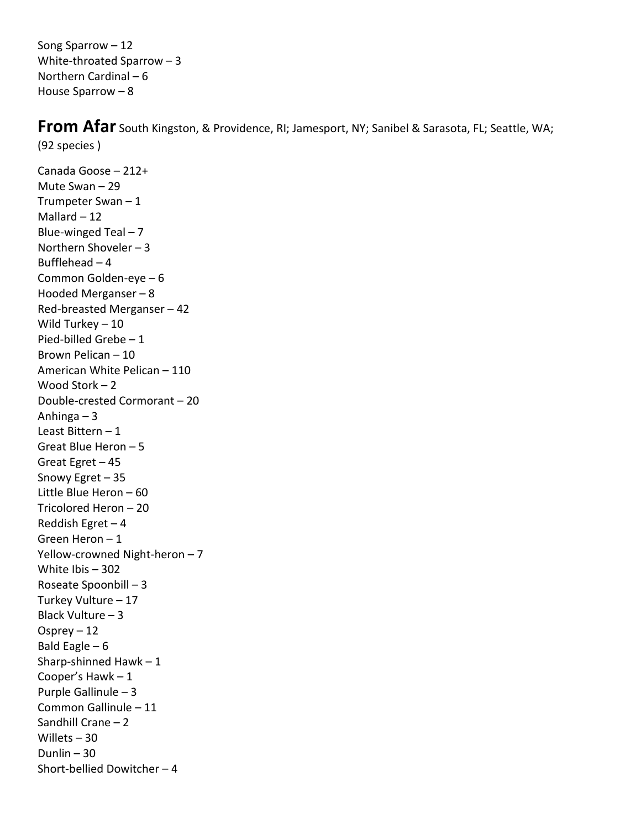Song Sparrow – 12 White-throated Sparrow – 3 Northern Cardinal – 6 House Sparrow – 8

**From Afar** South Kingston, & Providence, RI; Jamesport, NY; Sanibel & Sarasota, FL; Seattle, WA; (92 species )

Canada Goose – 212+ Mute Swan – 29 Trumpeter Swan – 1 Mallard  $-12$ Blue-winged Teal – 7 Northern Shoveler – 3 Bufflehead – 4 Common Golden-eye – 6 Hooded Merganser – 8 Red-breasted Merganser – 42 Wild Turkey – 10 Pied-billed Grebe – 1 Brown Pelican – 10 American White Pelican – 110 Wood Stork – 2 Double-crested Cormorant – 20 Anhinga – 3 Least Bittern – 1 Great Blue Heron – 5 Great Egret – 45 Snowy Egret – 35 Little Blue Heron – 60 Tricolored Heron – 20 Reddish Egret – 4 Green Heron – 1 Yellow-crowned Night-heron – 7 White Ibis – 302 Roseate Spoonbill – 3 Turkey Vulture – 17 Black Vulture – 3 Osprey – 12 Bald Eagle  $-6$ Sharp-shinned Hawk  $-1$ Cooper's Hawk – 1 Purple Gallinule – 3 Common Gallinule – 11 Sandhill Crane – 2 Willets – 30 Dunlin  $-30$ Short-bellied Dowitcher – 4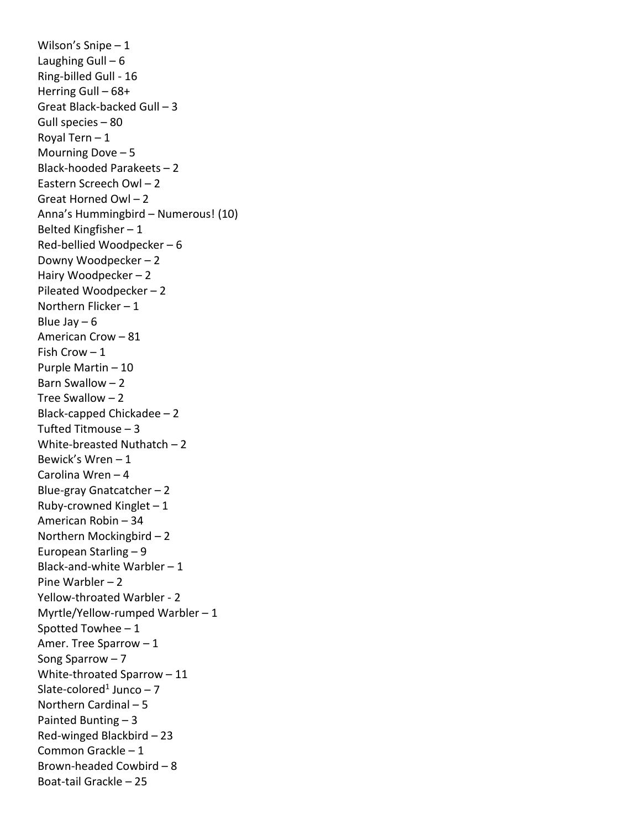Wilson's Snipe – 1 Laughing Gull  $-6$ Ring-billed Gull - 16 Herring Gull – 68+ Great Black-backed Gull – 3 Gull species – 80 Royal Tern – 1 Mourning Dove – 5 Black-hooded Parakeets – 2 Eastern Screech Owl – 2 Great Horned Owl – 2 Anna's Hummingbird – Numerous! (10) Belted Kingfisher – 1 Red-bellied Woodpecker – 6 Downy Woodpecker – 2 Hairy Woodpecker – 2 Pileated Woodpecker – 2 Northern Flicker – 1 Blue Jay  $-6$ American Crow – 81 Fish Crow  $-1$ Purple Martin – 10 Barn Swallow – 2 Tree Swallow – 2 Black-capped Chickadee – 2 Tufted Titmouse – 3 White-breasted Nuthatch – 2 Bewick's Wren – 1 Carolina Wren – 4 Blue-gray Gnatcatcher – 2 Ruby-crowned Kinglet  $-1$ American Robin – 34 Northern Mockingbird – 2 European Starling – 9 Black-and-white Warbler – 1 Pine Warbler – 2 Yellow-throated Warbler - 2 Myrtle/Yellow-rumped Warbler – 1 Spotted Towhee – 1 Amer. Tree Sparrow – 1 Song Sparrow – 7 White-throated Sparrow – 11 Slate-colored<sup>1</sup> Junco  $-7$ Northern Cardinal – 5 Painted Bunting – 3 Red-winged Blackbird – 23 Common Grackle – 1 Brown-headed Cowbird – 8 Boat-tail Grackle – 25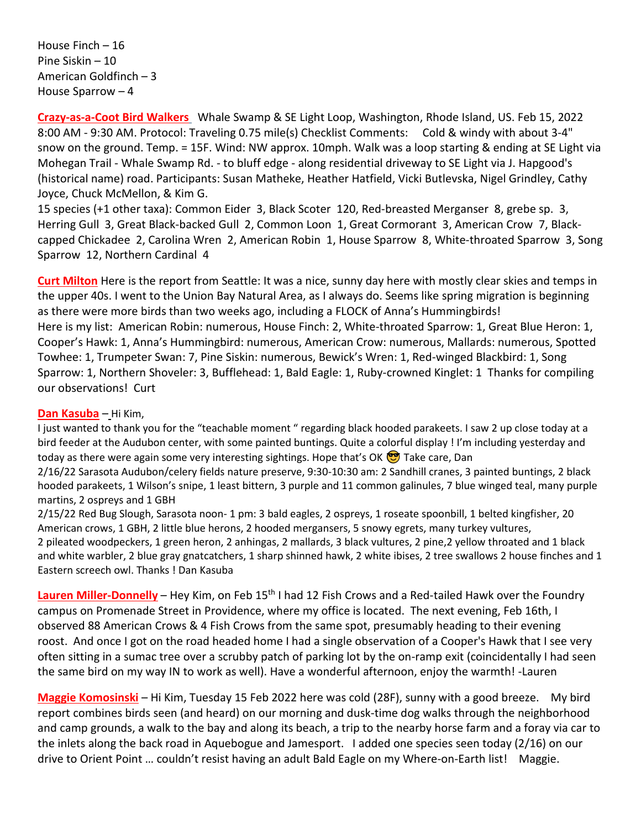House Finch – 16 Pine Siskin – 10 American Goldfinch – 3 House Sparrow – 4

**Crazy-as-a-Coot Bird Walkers** Whale Swamp & SE Light Loop, Washington, Rhode Island, US. Feb 15, 2022 8:00 AM - 9:30 AM. Protocol: Traveling 0.75 mile(s) Checklist Comments: Cold & windy with about 3-4" snow on the ground. Temp. = 15F. Wind: NW approx. 10mph. Walk was a loop starting & ending at SE Light via Mohegan Trail - Whale Swamp Rd. - to bluff edge - along residential driveway to SE Light via J. Hapgood's (historical name) road. Participants: Susan Matheke, Heather Hatfield, Vicki Butlevska, Nigel Grindley, Cathy Joyce, Chuck McMellon, & Kim G.

15 species (+1 other taxa): Common Eider 3, Black Scoter 120, Red-breasted Merganser 8, grebe sp. 3, Herring Gull 3, Great Black-backed Gull 2, Common Loon 1, Great Cormorant 3, American Crow 7, Blackcapped Chickadee 2, Carolina Wren 2, American Robin 1, House Sparrow 8, White-throated Sparrow 3, Song Sparrow 12, Northern Cardinal 4

**Curt Milton** Here is the report from Seattle: It was a nice, sunny day here with mostly clear skies and temps in the upper 40s. I went to the Union Bay Natural Area, as I always do. Seems like spring migration is beginning as there were more birds than two weeks ago, including a FLOCK of Anna's Hummingbirds! Here is my list: American Robin: numerous, House Finch: 2, White-throated Sparrow: 1, Great Blue Heron: 1, Cooper's Hawk: 1, Anna's Hummingbird: numerous, American Crow: numerous, Mallards: numerous, Spotted Towhee: 1, Trumpeter Swan: 7, Pine Siskin: numerous, Bewick's Wren: 1, Red-winged Blackbird: 1, Song Sparrow: 1, Northern Shoveler: 3, Bufflehead: 1, Bald Eagle: 1, Ruby-crowned Kinglet: 1 Thanks for compiling our observations! Curt

#### **Dan Kasuba** – Hi Kim,

I just wanted to thank you for the "teachable moment " regarding black hooded parakeets. I saw 2 up close today at a bird feeder at the Audubon center, with some painted buntings. Quite a colorful display ! I'm including yesterday and today as there were again some very interesting sightings. Hope that's OK  $\bigcirc$  Take care, Dan

2/16/22 Sarasota Audubon/celery fields nature preserve, 9:30-10:30 am: 2 Sandhill cranes, 3 painted buntings, 2 black hooded parakeets, 1 Wilson's snipe, 1 least bittern, 3 purple and 11 common galinules, 7 blue winged teal, many purple martins, 2 ospreys and 1 GBH

2/15/22 Red Bug Slough, Sarasota noon- 1 pm: 3 bald eagles, 2 ospreys, 1 roseate spoonbill, 1 belted kingfisher, 20 American crows, 1 GBH, 2 little blue herons, 2 hooded mergansers, 5 snowy egrets, many turkey vultures, 2 pileated woodpeckers, 1 green heron, 2 anhingas, 2 mallards, 3 black vultures, 2 pine,2 yellow throated and 1 black and white warbler, 2 blue gray gnatcatchers, 1 sharp shinned hawk, 2 white ibises, 2 tree swallows 2 house finches and 1 Eastern screech owl. Thanks ! Dan Kasuba

Lauren Miller-Donnelly – Hey Kim, on Feb 15<sup>th</sup> I had 12 Fish Crows and a Red-tailed Hawk over the Foundry campus on Promenade Street in Providence, where my office is located. The next evening, Feb 16th, I observed 88 American Crows & 4 Fish Crows from the same spot, presumably heading to their evening roost. And once I got on the road headed home I had a single observation of a Cooper's Hawk that I see very often sitting in a sumac tree over a scrubby patch of parking lot by the on-ramp exit (coincidentally I had seen the same bird on my way IN to work as well). Have a wonderful afternoon, enjoy the warmth! -Lauren

**Maggie Komosinski** – Hi Kim, Tuesday 15 Feb 2022 here was cold (28F), sunny with a good breeze. My bird report combines birds seen (and heard) on our morning and dusk-time dog walks through the neighborhood and camp grounds, a walk to the bay and along its beach, a trip to the nearby horse farm and a foray via car to the inlets along the back road in Aquebogue and Jamesport. I added one species seen today (2/16) on our drive to Orient Point … couldn't resist having an adult Bald Eagle on my Where-on-Earth list! Maggie.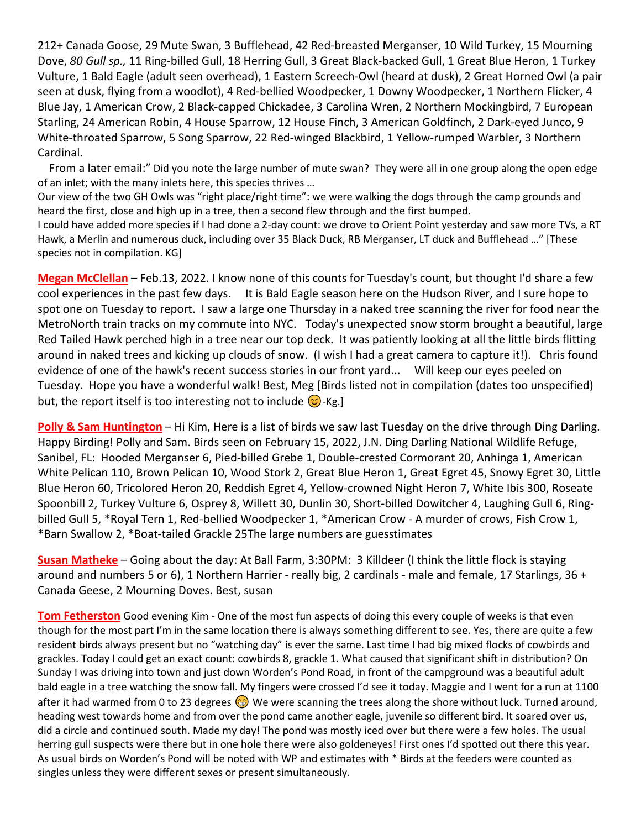212+ Canada Goose, 29 Mute Swan, 3 Bufflehead, 42 Red-breasted Merganser, 10 Wild Turkey, 15 Mourning Dove, *80 Gull sp.,* 11 Ring-billed Gull, 18 Herring Gull, 3 Great Black-backed Gull, 1 Great Blue Heron, 1 Turkey Vulture, 1 Bald Eagle (adult seen overhead), 1 Eastern Screech-Owl (heard at dusk), 2 Great Horned Owl (a pair seen at dusk, flying from a woodlot), 4 Red-bellied Woodpecker, 1 Downy Woodpecker, 1 Northern Flicker, 4 Blue Jay, 1 American Crow, 2 Black-capped Chickadee, 3 Carolina Wren, 2 Northern Mockingbird, 7 European Starling, 24 American Robin, 4 House Sparrow, 12 House Finch, 3 American Goldfinch, 2 Dark-eyed Junco, 9 White-throated Sparrow, 5 Song Sparrow, 22 Red-winged Blackbird, 1 Yellow-rumped Warbler, 3 Northern Cardinal.

 From a later email:" Did you note the large number of mute swan? They were all in one group along the open edge of an inlet; with the many inlets here, this species thrives …

Our view of the two GH Owls was "right place/right time": we were walking the dogs through the camp grounds and heard the first, close and high up in a tree, then a second flew through and the first bumped.

I could have added more species if I had done a 2-day count: we drove to Orient Point yesterday and saw more TVs, a RT Hawk, a Merlin and numerous duck, including over 35 Black Duck, RB Merganser, LT duck and Bufflehead …" [These species not in compilation. KG]

**Megan McClellan** – Feb.13, 2022. I know none of this counts for Tuesday's count, but thought I'd share a few cool experiences in the past few days. It is Bald Eagle season here on the Hudson River, and I sure hope to spot one on Tuesday to report. I saw a large one Thursday in a naked tree scanning the river for food near the MetroNorth train tracks on my commute into NYC. Today's unexpected snow storm brought a beautiful, large Red Tailed Hawk perched high in a tree near our top deck. It was patiently looking at all the little birds flitting around in naked trees and kicking up clouds of snow. (I wish I had a great camera to capture it!). Chris found evidence of one of the hawk's recent success stories in our front yard... Will keep our eyes peeled on Tuesday. Hope you have a wonderful walk! Best, Meg [Birds listed not in compilation (dates too unspecified) but, the report itself is too interesting not to include  $\bigodot$ -Kg.]

**Polly & Sam Huntington** – Hi Kim, Here is a list of birds we saw last Tuesday on the drive through Ding Darling. Happy Birding! Polly and Sam. Birds seen on February 15, 2022, J.N. Ding Darling National Wildlife Refuge, Sanibel, FL: Hooded Merganser 6, Pied-billed Grebe 1, Double-crested Cormorant 20, Anhinga 1, American White Pelican 110, Brown Pelican 10, Wood Stork 2, Great Blue Heron 1, Great Egret 45, Snowy Egret 30, Little Blue Heron 60, Tricolored Heron 20, Reddish Egret 4, Yellow-crowned Night Heron 7, White Ibis 300, Roseate Spoonbill 2, Turkey Vulture 6, Osprey 8, Willett 30, Dunlin 30, Short-billed Dowitcher 4, Laughing Gull 6, Ringbilled Gull 5, \*Royal Tern 1, Red-bellied Woodpecker 1, \*American Crow - A murder of crows, Fish Crow 1, \*Barn Swallow 2, \*Boat-tailed Grackle 25The large numbers are guesstimates

**Susan Matheke** – Going about the day: At Ball Farm, 3:30PM: 3 Killdeer (I think the little flock is staying around and numbers 5 or 6), 1 Northern Harrier - really big, 2 cardinals - male and female, 17 Starlings, 36 + Canada Geese, 2 Mourning Doves. Best, susan

**Tom Fetherston** Good evening Kim - One of the most fun aspects of doing this every couple of weeks is that even though for the most part I'm in the same location there is always something different to see. Yes, there are quite a few resident birds always present but no "watching day" is ever the same. Last time I had big mixed flocks of cowbirds and grackles. Today I could get an exact count: cowbirds 8, grackle 1. What caused that significant shift in distribution? On Sunday I was driving into town and just down Worden's Pond Road, in front of the campground was a beautiful adult bald eagle in a tree watching the snow fall. My fingers were crossed I'd see it today. Maggie and I went for a run at 1100 after it had warmed from 0 to 23 degrees  $\bigcirc$  We were scanning the trees along the shore without luck. Turned around, heading west towards home and from over the pond came another eagle, juvenile so different bird. It soared over us, did a circle and continued south. Made my day! The pond was mostly iced over but there were a few holes. The usual herring gull suspects were there but in one hole there were also goldeneyes! First ones I'd spotted out there this year. As usual birds on Worden's Pond will be noted with WP and estimates with \* Birds at the feeders were counted as singles unless they were different sexes or present simultaneously.